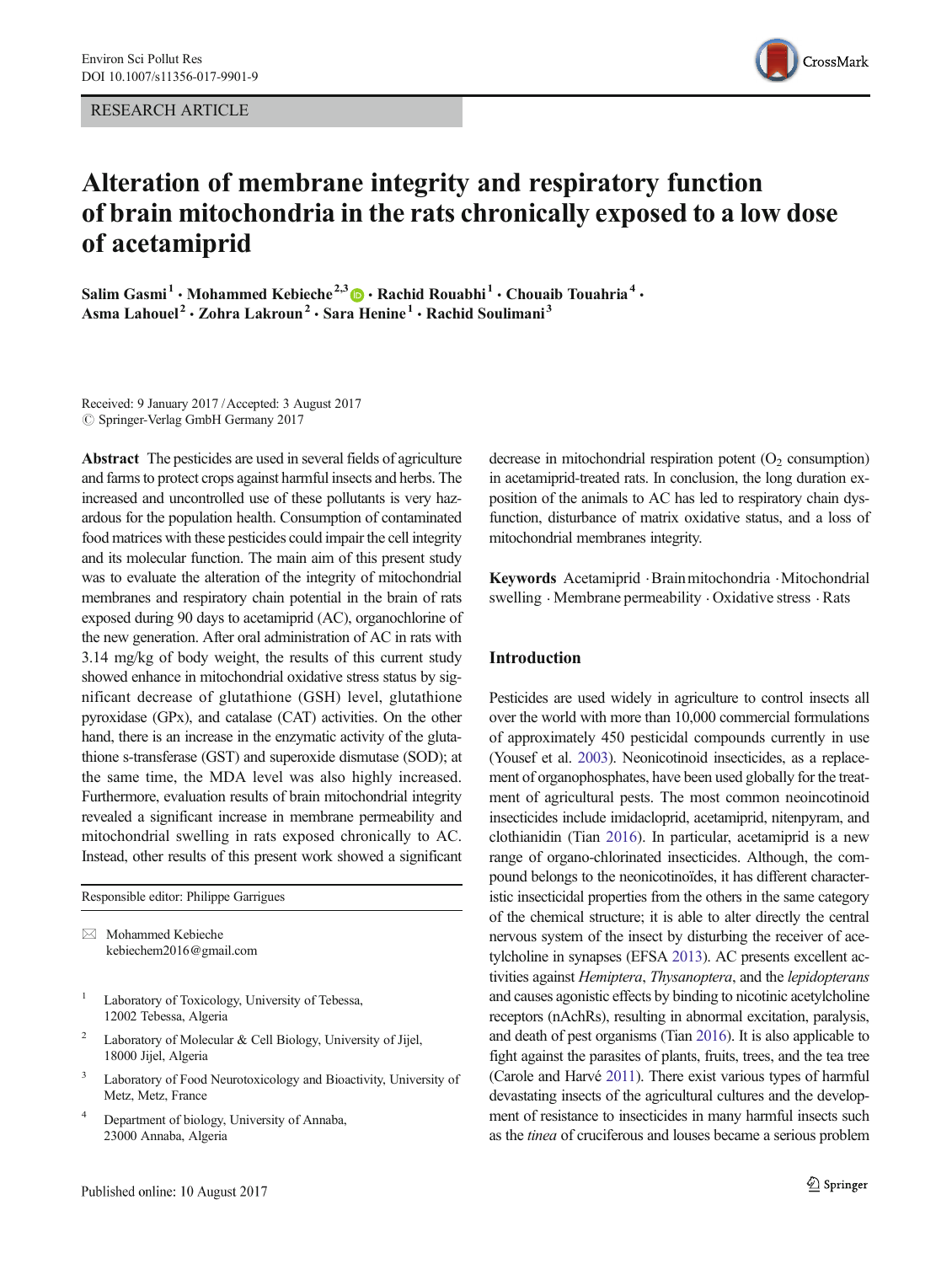RESEARCH ARTICLE



# Alteration of membrane integrity and respiratory function of brain mitochondria in the rats chronically exposed to a low dose of acetamiprid

Salim Gasmi<sup>1</sup> • Mohammed Kebieche<sup>2,3</sup>  $\bullet$  • Rachid Rouabhi<sup>1</sup> • Chouaib Touahria<sup>4</sup> • Asma Lahouel<sup>2</sup> • Zohra Lakroun<sup>2</sup> • Sara Henine<sup>1</sup> • Rachid Soulimani<sup>3</sup>

Received: 9 January 2017 /Accepted: 3 August 2017  $\oslash$  Springer-Verlag GmbH Germany 2017

Abstract The pesticides are used in several fields of agriculture and farms to protect crops against harmful insects and herbs. The increased and uncontrolled use of these pollutants is very hazardous for the population health. Consumption of contaminated food matrices with these pesticides could impair the cell integrity and its molecular function. The main aim of this present study was to evaluate the alteration of the integrity of mitochondrial membranes and respiratory chain potential in the brain of rats exposed during 90 days to acetamiprid (AC), organochlorine of the new generation. After oral administration of AC in rats with 3.14 mg/kg of body weight, the results of this current study showed enhance in mitochondrial oxidative stress status by significant decrease of glutathione (GSH) level, glutathione pyroxidase (GPx), and catalase (CAT) activities. On the other hand, there is an increase in the enzymatic activity of the glutathione s-transferase (GST) and superoxide dismutase (SOD); at the same time, the MDA level was also highly increased. Furthermore, evaluation results of brain mitochondrial integrity revealed a significant increase in membrane permeability and mitochondrial swelling in rats exposed chronically to AC. Instead, other results of this present work showed a significant

Responsible editor: Philippe Garrigues

 $\boxtimes$  Mohammed Kebieche [kebiechem2016@gmail.com](mailto:kebiechem2016@gmail.com)

- <sup>1</sup> Laboratory of Toxicology, University of Tebessa, 12002 Tebessa, Algeria
- Laboratory of Molecular & Cell Biology, University of Jijel, 18000 Jijel, Algeria
- <sup>3</sup> Laboratory of Food Neurotoxicology and Bioactivity, University of Metz, Metz, France
- <sup>4</sup> Department of biology, University of Annaba, 23000 Annaba, Algeria

decrease in mitochondrial respiration potent  $(O<sub>2</sub>$  consumption) in acetamiprid-treated rats. In conclusion, the long duration exposition of the animals to AC has led to respiratory chain dysfunction, disturbance of matrix oxidative status, and a loss of mitochondrial membranes integrity.

Keywords Acetamiprid · Brain mitochondria · Mitochondrial swelling . Membrane permeability . Oxidative stress . Rats

## Introduction

Pesticides are used widely in agriculture to control insects all over the world with more than 10,000 commercial formulations of approximately 450 pesticidal compounds currently in use (Yousef et al. [2003\)](#page-6-0). Neonicotinoid insecticides, as a replacement of organophosphates, have been used globally for the treatment of agricultural pests. The most common neoincotinoid insecticides include imidacloprid, acetamiprid, nitenpyram, and clothianidin (Tian [2016\)](#page-6-0). In particular, acetamiprid is a new range of organo-chlorinated insecticides. Although, the compound belongs to the neonicotinoïdes, it has different characteristic insecticidal properties from the others in the same category of the chemical structure; it is able to alter directly the central nervous system of the insect by disturbing the receiver of acetylcholine in synapses (EFSA [2013\)](#page-5-0). AC presents excellent activities against Hemiptera, Thysanoptera, and the lepidopterans and causes agonistic effects by binding to nicotinic acetylcholine receptors (nAchRs), resulting in abnormal excitation, paralysis, and death of pest organisms (Tian [2016\)](#page-6-0). It is also applicable to fight against the parasites of plants, fruits, trees, and the tea tree (Carole and Harvé [2011\)](#page-5-0). There exist various types of harmful devastating insects of the agricultural cultures and the development of resistance to insecticides in many harmful insects such as the tinea of cruciferous and louses became a serious problem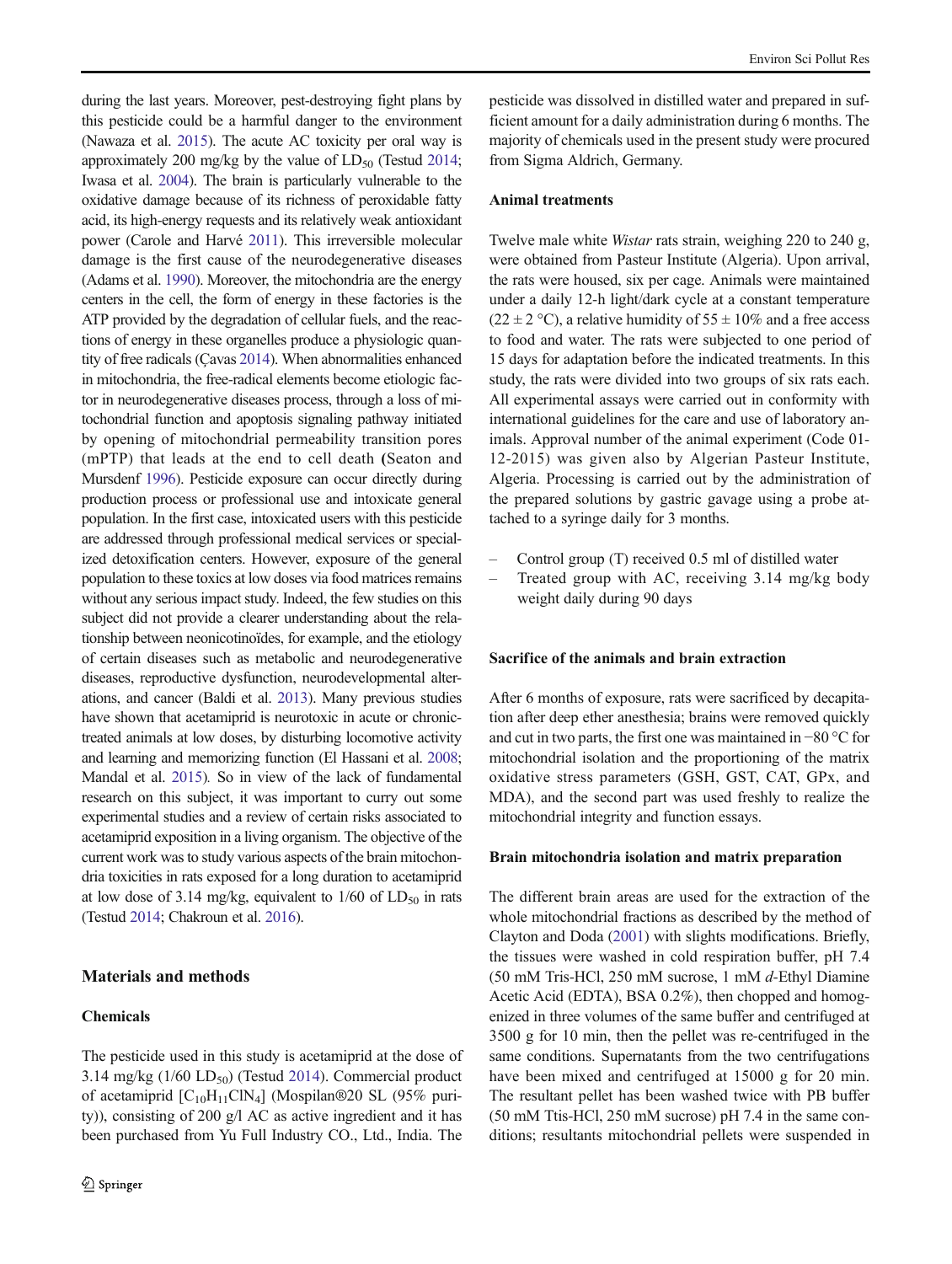during the last years. Moreover, pest-destroying fight plans by this pesticide could be a harmful danger to the environment (Nawaza et al. [2015\)](#page-6-0). The acute AC toxicity per oral way is approximately 200 mg/kg by the value of  $LD_{50}$  (Testud [2014](#page-6-0); Iwasa et al. [2004](#page-5-0)). The brain is particularly vulnerable to the oxidative damage because of its richness of peroxidable fatty acid, its high-energy requests and its relatively weak antioxidant power (Carole and Harvé [2011\)](#page-5-0). This irreversible molecular damage is the first cause of the neurodegenerative diseases (Adams et al. [1990](#page-5-0)). Moreover, the mitochondria are the energy centers in the cell, the form of energy in these factories is the ATP provided by the degradation of cellular fuels, and the reactions of energy in these organelles produce a physiologic quantity of free radicals (Çavas [2014\)](#page-5-0). When abnormalities enhanced in mitochondria, the free-radical elements become etiologic factor in neurodegenerative diseases process, through a loss of mitochondrial function and apoptosis signaling pathway initiated by opening of mitochondrial permeability transition pores (mPTP) that leads at the end to cell death (Seaton and Mursdenf [1996\)](#page-6-0). Pesticide exposure can occur directly during production process or professional use and intoxicate general population. In the first case, intoxicated users with this pesticide are addressed through professional medical services or specialized detoxification centers. However, exposure of the general population to these toxics at low doses via food matrices remains without any serious impact study. Indeed, the few studies on this subject did not provide a clearer understanding about the relationship between neonicotinoïdes, for example, and the etiology of certain diseases such as metabolic and neurodegenerative diseases, reproductive dysfunction, neurodevelopmental alterations, and cancer (Baldi et al. [2013\)](#page-5-0). Many previous studies have shown that acetamiprid is neurotoxic in acute or chronictreated animals at low doses, by disturbing locomotive activity and learning and memorizing function (El Hassani et al. [2008](#page-5-0); Mandal et al. [2015\)](#page-6-0). So in view of the lack of fundamental research on this subject, it was important to curry out some experimental studies and a review of certain risks associated to acetamiprid exposition in a living organism. The objective of the current work was to study various aspects of the brain mitochondria toxicities in rats exposed for a long duration to acetamiprid at low dose of 3.14 mg/kg, equivalent to  $1/60$  of  $LD_{50}$  in rats (Testud [2014](#page-6-0); Chakroun et al. [2016\)](#page-5-0).

### Materials and methods

# Chemicals

pesticide was dissolved in distilled water and prepared in sufficient amount for a daily administration during 6 months. The majority of chemicals used in the present study were procured from Sigma Aldrich, Germany.

#### Animal treatments

Twelve male white Wistar rats strain, weighing 220 to 240 g, were obtained from Pasteur Institute (Algeria). Upon arrival, the rats were housed, six per cage. Animals were maintained under a daily 12-h light/dark cycle at a constant temperature  $(22 \pm 2 \degree C)$ , a relative humidity of 55  $\pm$  10% and a free access to food and water. The rats were subjected to one period of 15 days for adaptation before the indicated treatments. In this study, the rats were divided into two groups of six rats each. All experimental assays were carried out in conformity with international guidelines for the care and use of laboratory animals. Approval number of the animal experiment (Code 01- 12-2015) was given also by Algerian Pasteur Institute, Algeria. Processing is carried out by the administration of the prepared solutions by gastric gavage using a probe attached to a syringe daily for 3 months.

- Control group (T) received 0.5 ml of distilled water
- Treated group with AC, receiving 3.14 mg/kg body weight daily during 90 days

#### Sacrifice of the animals and brain extraction

After 6 months of exposure, rats were sacrificed by decapitation after deep ether anesthesia; brains were removed quickly and cut in two parts, the first one was maintained in −80 °C for mitochondrial isolation and the proportioning of the matrix oxidative stress parameters (GSH, GST, CAT, GPx, and MDA), and the second part was used freshly to realize the mitochondrial integrity and function essays.

#### Brain mitochondria isolation and matrix preparation

The different brain areas are used for the extraction of the whole mitochondrial fractions as described by the method of Clayton and Doda ([2001](#page-5-0)) with slights modifications. Briefly, the tissues were washed in cold respiration buffer, pH 7.4 (50 mM Tris-HCl, 250 mM sucrose, 1 mM d-Ethyl Diamine Acetic Acid (EDTA), BSA 0.2%), then chopped and homogenized in three volumes of the same buffer and centrifuged at 3500 g for 10 min, then the pellet was re-centrifuged in the same conditions. Supernatants from the two centrifugations have been mixed and centrifuged at 15000 g for 20 min. The resultant pellet has been washed twice with PB buffer (50 mM Ttis-HCl, 250 mM sucrose) pH 7.4 in the same conditions; resultants mitochondrial pellets were suspended in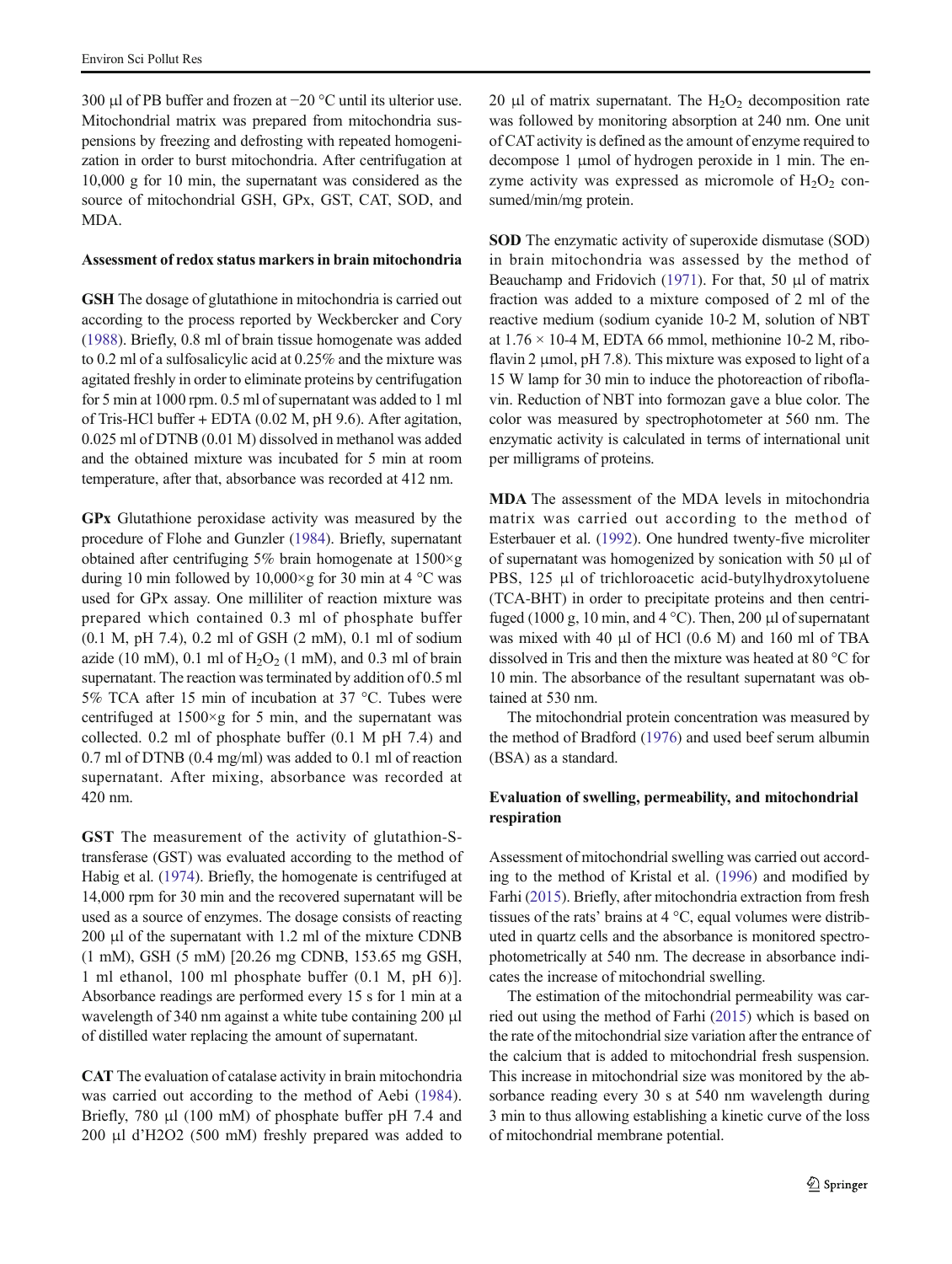300 μl of PB buffer and frozen at −20 °C until its ulterior use. Mitochondrial matrix was prepared from mitochondria suspensions by freezing and defrosting with repeated homogenization in order to burst mitochondria. After centrifugation at 10,000 g for 10 min, the supernatant was considered as the source of mitochondrial GSH, GPx, GST, CAT, SOD, and MDA.

#### Assessment of redox status markers in brain mitochondria

GSH The dosage of glutathione in mitochondria is carried out according to the process reported by Weckbercker and Cory [\(1988\)](#page-6-0). Briefly, 0.8 ml of brain tissue homogenate was added to 0.2 ml of a sulfosalicylic acid at 0.25% and the mixture was agitated freshly in order to eliminate proteins by centrifugation for 5 min at 1000 rpm. 0.5 ml of supernatant was added to 1 ml of Tris-HCl buffer + EDTA (0.02 M, pH 9.6). After agitation, 0.025 ml of DTNB (0.01 M) dissolved in methanol was added and the obtained mixture was incubated for 5 min at room temperature, after that, absorbance was recorded at 412 nm.

GPx Glutathione peroxidase activity was measured by the procedure of Flohe and Gunzler [\(1984\)](#page-5-0). Briefly, supernatant obtained after centrifuging 5% brain homogenate at 1500×g during 10 min followed by 10,000 $\times$ g for 30 min at 4 °C was used for GPx assay. One milliliter of reaction mixture was prepared which contained 0.3 ml of phosphate buffer (0.1 M, pH 7.4), 0.2 ml of GSH (2 mM), 0.1 ml of sodium azide (10 mM), 0.1 ml of  $H<sub>2</sub>O<sub>2</sub>$  (1 mM), and 0.3 ml of brain supernatant. The reaction was terminated by addition of 0.5 ml 5% TCA after 15 min of incubation at 37 °C. Tubes were centrifuged at  $1500 \times g$  for 5 min, and the supernatant was collected. 0.2 ml of phosphate buffer (0.1 M pH 7.4) and 0.7 ml of DTNB (0.4 mg/ml) was added to 0.1 ml of reaction supernatant. After mixing, absorbance was recorded at 420 nm.

GST The measurement of the activity of glutathion-Stransferase (GST) was evaluated according to the method of Habig et al. [\(1974\)](#page-5-0). Briefly, the homogenate is centrifuged at 14,000 rpm for 30 min and the recovered supernatant will be used as a source of enzymes. The dosage consists of reacting 200 μl of the supernatant with 1.2 ml of the mixture CDNB (1 mM), GSH (5 mM) [20.26 mg CDNB, 153.65 mg GSH, 1 ml ethanol, 100 ml phosphate buffer (0.1 M, pH 6)]. Absorbance readings are performed every 15 s for 1 min at a wavelength of 340 nm against a white tube containing 200 μl of distilled water replacing the amount of supernatant.

CAT The evaluation of catalase activity in brain mitochondria was carried out according to the method of Aebi ([1984](#page-5-0)). Briefly, 780 μl (100 mM) of phosphate buffer pH 7.4 and 200 μl d'H2O2 (500 mM) freshly prepared was added to 20 μl of matrix supernatant. The  $H_2O_2$  decomposition rate was followed by monitoring absorption at 240 nm. One unit of CAT activity is defined as the amount of enzyme required to decompose 1 μmol of hydrogen peroxide in 1 min. The enzyme activity was expressed as micromole of  $H_2O_2$  consumed/min/mg protein.

SOD The enzymatic activity of superoxide dismutase (SOD) in brain mitochondria was assessed by the method of Beauchamp and Fridovich [\(1971\)](#page-5-0). For that, 50 μl of matrix fraction was added to a mixture composed of 2 ml of the reactive medium (sodium cyanide 10-2 M, solution of NBT at  $1.76 \times 10-4$  M, EDTA 66 mmol, methionine 10-2 M, riboflavin 2 μmol, pH 7.8). This mixture was exposed to light of a 15 W lamp for 30 min to induce the photoreaction of riboflavin. Reduction of NBT into formozan gave a blue color. The color was measured by spectrophotometer at 560 nm. The enzymatic activity is calculated in terms of international unit per milligrams of proteins.

MDA The assessment of the MDA levels in mitochondria matrix was carried out according to the method of Esterbauer et al. [\(1992\)](#page-5-0). One hundred twenty-five microliter of supernatant was homogenized by sonication with 50 μl of PBS, 125 μl of trichloroacetic acid-butylhydroxytoluene (TCA-BHT) in order to precipitate proteins and then centrifuged (1000 g, 10 min, and 4 °C). Then, 200  $\mu$ l of supernatant was mixed with 40 μl of HCl (0.6 M) and 160 ml of TBA dissolved in Tris and then the mixture was heated at 80 °C for 10 min. The absorbance of the resultant supernatant was obtained at 530 nm.

The mitochondrial protein concentration was measured by the method of Bradford [\(1976\)](#page-5-0) and used beef serum albumin (BSA) as a standard.

# Evaluation of swelling, permeability, and mitochondrial respiration

Assessment of mitochondrial swelling was carried out according to the method of Kristal et al. [\(1996\)](#page-5-0) and modified by Farhi ([2015](#page-5-0)). Briefly, after mitochondria extraction from fresh tissues of the rats' brains at 4 °C, equal volumes were distributed in quartz cells and the absorbance is monitored spectrophotometrically at 540 nm. The decrease in absorbance indicates the increase of mitochondrial swelling.

The estimation of the mitochondrial permeability was carried out using the method of Farhi ([2015](#page-5-0)) which is based on the rate of the mitochondrial size variation after the entrance of the calcium that is added to mitochondrial fresh suspension. This increase in mitochondrial size was monitored by the absorbance reading every 30 s at 540 nm wavelength during 3 min to thus allowing establishing a kinetic curve of the loss of mitochondrial membrane potential.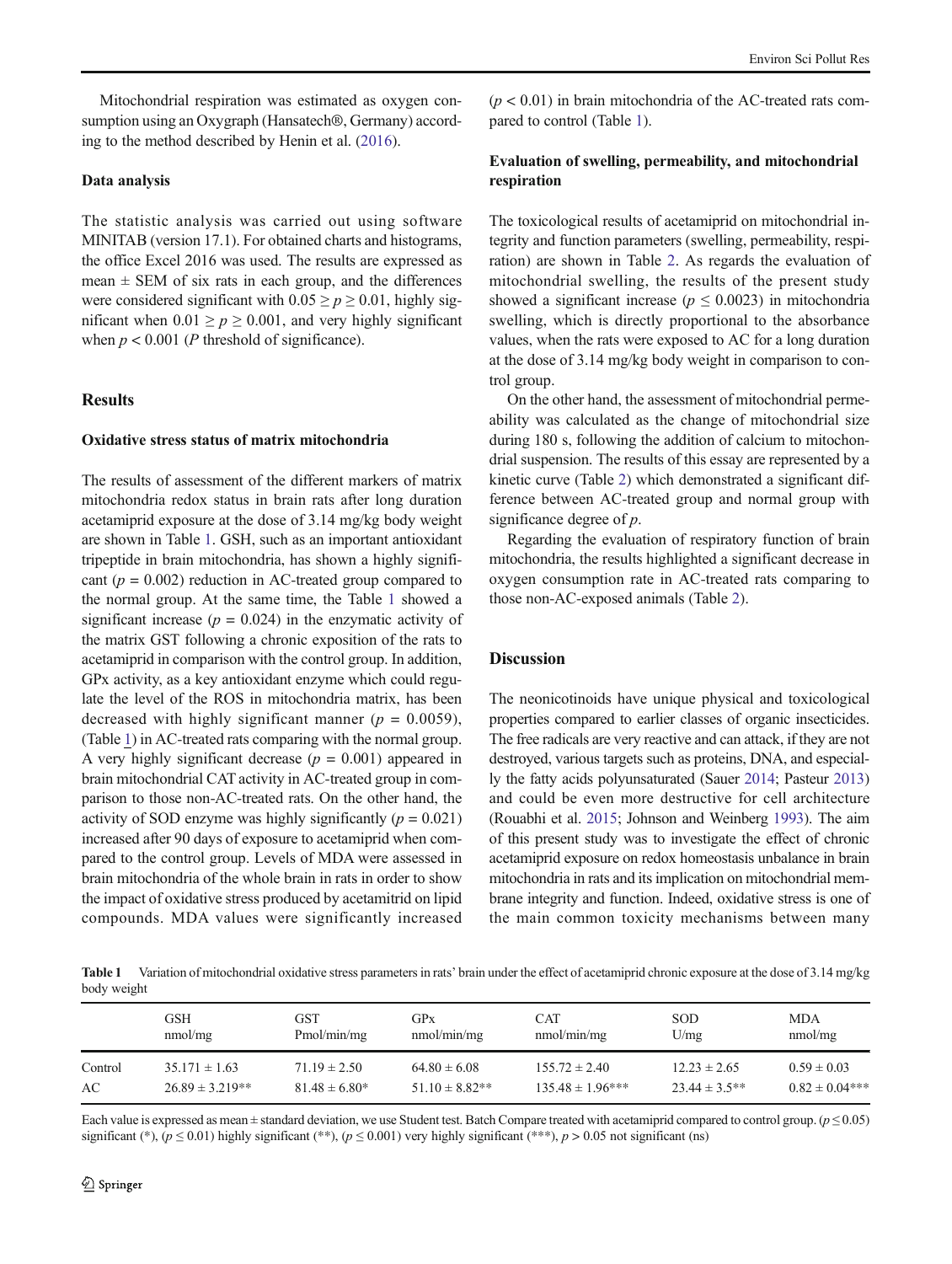Mitochondrial respiration was estimated as oxygen consumption using an Oxygraph (Hansatech®, Germany) according to the method described by Henin et al. ([2016](#page-5-0)).

## Data analysis

The statistic analysis was carried out using software MINITAB (version 17.1). For obtained charts and histograms, the office Excel 2016 was used. The results are expressed as mean  $\pm$  SEM of six rats in each group, and the differences were considered significant with  $0.05 \ge p \ge 0.01$ , highly significant when  $0.01 \ge p \ge 0.001$ , and very highly significant when  $p < 0.001$  (P threshold of significance).

# **Results**

#### Oxidative stress status of matrix mitochondria

The results of assessment of the different markers of matrix mitochondria redox status in brain rats after long duration acetamiprid exposure at the dose of 3.14 mg/kg body weight are shown in Table 1. GSH, such as an important antioxidant tripeptide in brain mitochondria, has shown a highly significant ( $p = 0.002$ ) reduction in AC-treated group compared to the normal group. At the same time, the Table 1 showed a significant increase ( $p = 0.024$ ) in the enzymatic activity of the matrix GST following a chronic exposition of the rats to acetamiprid in comparison with the control group. In addition, GPx activity, as a key antioxidant enzyme which could regulate the level of the ROS in mitochondria matrix, has been decreased with highly significant manner ( $p = 0.0059$ ), (Table 1) in AC-treated rats comparing with the normal group. A very highly significant decrease  $(p = 0.001)$  appeared in brain mitochondrial CAT activity in AC-treated group in comparison to those non-AC-treated rats. On the other hand, the activity of SOD enzyme was highly significantly  $(p = 0.021)$ increased after 90 days of exposure to acetamiprid when compared to the control group. Levels of MDA were assessed in brain mitochondria of the whole brain in rats in order to show the impact of oxidative stress produced by acetamitrid on lipid compounds. MDA values were significantly increased

 $(p < 0.01)$  in brain mitochondria of the AC-treated rats compared to control (Table 1).

# Evaluation of swelling, permeability, and mitochondrial respiration

The toxicological results of acetamiprid on mitochondrial integrity and function parameters (swelling, permeability, respiration) are shown in Table [2.](#page-4-0) As regards the evaluation of mitochondrial swelling, the results of the present study showed a significant increase ( $p \leq 0.0023$ ) in mitochondria swelling, which is directly proportional to the absorbance values, when the rats were exposed to AC for a long duration at the dose of 3.14 mg/kg body weight in comparison to control group.

On the other hand, the assessment of mitochondrial permeability was calculated as the change of mitochondrial size during 180 s, following the addition of calcium to mitochondrial suspension. The results of this essay are represented by a kinetic curve (Table [2\)](#page-4-0) which demonstrated a significant difference between AC-treated group and normal group with significance degree of  $p$ .

Regarding the evaluation of respiratory function of brain mitochondria, the results highlighted a significant decrease in oxygen consumption rate in AC-treated rats comparing to those non-AC-exposed animals (Table [2](#page-4-0)).

#### Discussion

The neonicotinoids have unique physical and toxicological properties compared to earlier classes of organic insecticides. The free radicals are very reactive and can attack, if they are not destroyed, various targets such as proteins, DNA, and especially the fatty acids polyunsaturated (Sauer [2014](#page-6-0); Pasteur [2013](#page-6-0)) and could be even more destructive for cell architecture (Rouabhi et al. [2015](#page-6-0); Johnson and Weinberg [1993](#page-5-0)). The aim of this present study was to investigate the effect of chronic acetamiprid exposure on redox homeostasis unbalance in brain mitochondria in rats and its implication on mitochondrial membrane integrity and function. Indeed, oxidative stress is one of the main common toxicity mechanisms between many

Table 1 Variation of mitochondrial oxidative stress parameters in rats' brain under the effect of acetamiprid chronic exposure at the dose of 3.14 mg/kg body weight

|         | GSH                 | GST               | GPx                 | <b>CAT</b>            | <b>SOD</b>         | <b>MDA</b>         |
|---------|---------------------|-------------------|---------------------|-----------------------|--------------------|--------------------|
|         | nmol/mg             | Pmol/min/mg       | nmol/min/mg         | mmol/min/mg           | U/mg               | nmol/mg            |
| Control | $35.171 \pm 1.63$   | $71.19 \pm 2.50$  | $64.80 \pm 6.08$    | $155.72 \pm 2.40$     | $12.23 \pm 2.65$   | $0.59 \pm 0.03$    |
| AC      | $26.89 \pm 3.219**$ | $81.48 \pm 6.80*$ | $51.10 \pm 8.82$ ** | $135.48 \pm 1.96$ *** | $23.44 \pm 3.5$ ** | $0.82 \pm 0.04***$ |

Each value is expressed as mean  $\pm$  standard deviation, we use Student test. Batch Compare treated with acetamiprid compared to control group. ( $p \le 0.05$ ) significant (\*), ( $p \le 0.01$ ) highly significant (\*\*), ( $p \le 0.001$ ) very highly significant (\*\*\*),  $p > 0.05$  not significant (ns)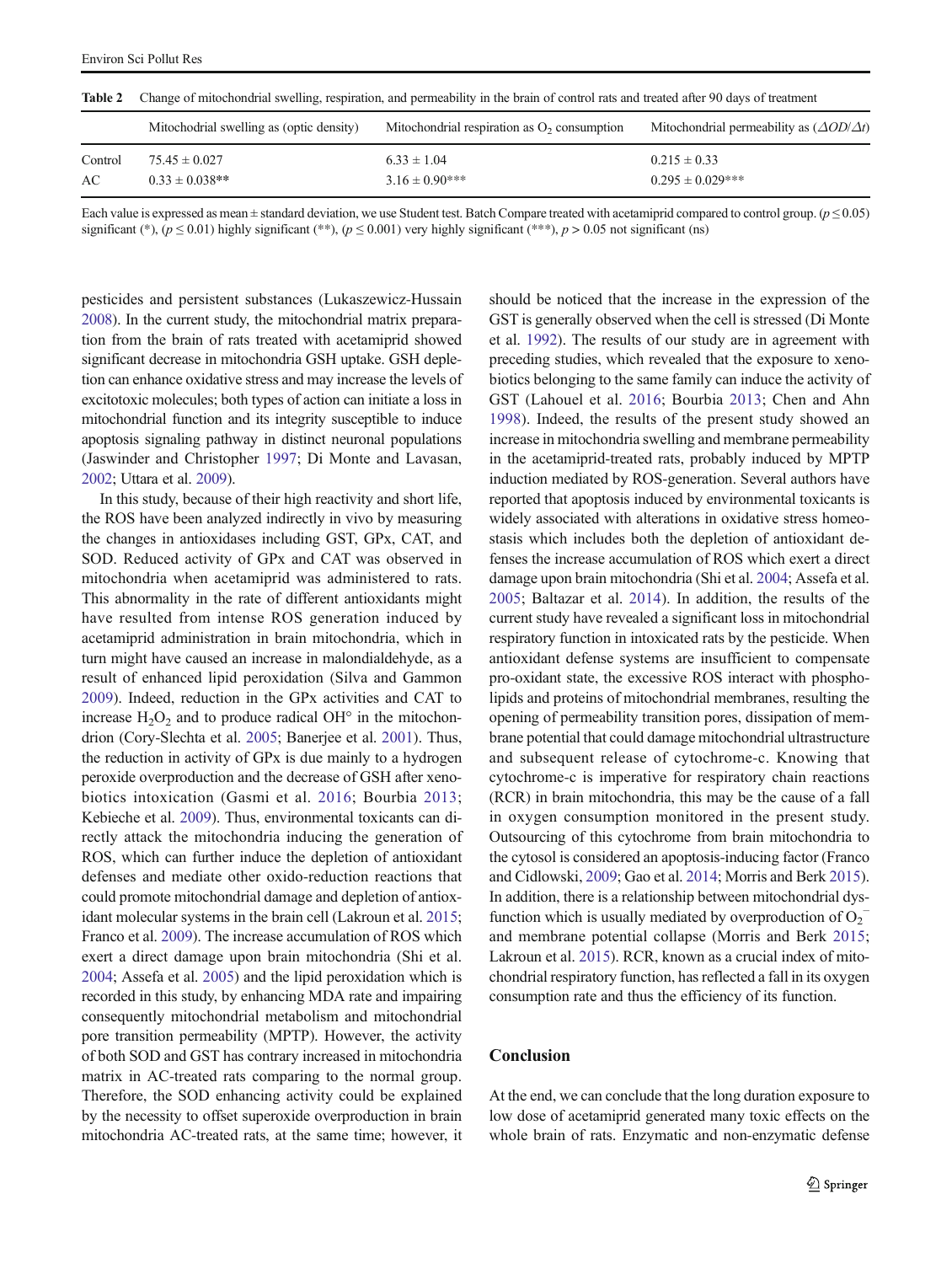| Table 2       | Change of mitochondrial swelling, respiration, and permeability in the brain of control rats and treated after 90 days of treatment |                                                |                                                      |  |  |
|---------------|-------------------------------------------------------------------------------------------------------------------------------------|------------------------------------------------|------------------------------------------------------|--|--|
|               | Mitochodrial swelling as (optic density)                                                                                            | Mitochondrial respiration as $O_2$ consumption | Mitochondrial permeability as $(\Delta OD/\Delta t)$ |  |  |
| Control<br>AC | $75.45 \pm 0.027$<br>$0.33 \pm 0.038$ **                                                                                            | $6.33 \pm 1.04$<br>$3.16 \pm 0.90$ ***         | $0.215 \pm 0.33$<br>$0.295 \pm 0.029***$             |  |  |

<span id="page-4-0"></span>Table 2 Change of mitochondrial swelling, respiration, and permeability in the brain of control rats and treated after 90 days of treatment

Each value is expressed as mean  $\pm$  standard deviation, we use Student test. Batch Compare treated with acetamiprid compared to control group. ( $p \le 0.05$ ) significant (\*), ( $p \le 0.01$ ) highly significant (\*\*), ( $p \le 0.001$ ) very highly significant (\*\*\*),  $p > 0.05$  not significant (ns)

pesticides and persistent substances (Lukaszewicz-Hussain [2008](#page-6-0)). In the current study, the mitochondrial matrix preparation from the brain of rats treated with acetamiprid showed significant decrease in mitochondria GSH uptake. GSH depletion can enhance oxidative stress and may increase the levels of excitotoxic molecules; both types of action can initiate a loss in mitochondrial function and its integrity susceptible to induce apoptosis signaling pathway in distinct neuronal populations (Jaswinder and Christopher [1997;](#page-5-0) Di Monte and Lavasan, [2002](#page-5-0); Uttara et al. [2009](#page-6-0)).

In this study, because of their high reactivity and short life, the ROS have been analyzed indirectly in vivo by measuring the changes in antioxidases including GST, GPx, CAT, and SOD. Reduced activity of GPx and CAT was observed in mitochondria when acetamiprid was administered to rats. This abnormality in the rate of different antioxidants might have resulted from intense ROS generation induced by acetamiprid administration in brain mitochondria, which in turn might have caused an increase in malondialdehyde, as a result of enhanced lipid peroxidation (Silva and Gammon [2009\)](#page-6-0). Indeed, reduction in the GPx activities and CAT to increase  $H_2O_2$  and to produce radical OH $\degree$  in the mitochondrion (Cory-Slechta et al. [2005;](#page-5-0) Banerjee et al. [2001\)](#page-5-0). Thus, the reduction in activity of GPx is due mainly to a hydrogen peroxide overproduction and the decrease of GSH after xenobiotics intoxication (Gasmi et al. [2016](#page-5-0); Bourbia [2013](#page-5-0); Kebieche et al. [2009](#page-5-0)). Thus, environmental toxicants can directly attack the mitochondria inducing the generation of ROS, which can further induce the depletion of antioxidant defenses and mediate other oxido-reduction reactions that could promote mitochondrial damage and depletion of antioxidant molecular systems in the brain cell (Lakroun et al. [2015](#page-5-0); Franco et al. [2009](#page-5-0)). The increase accumulation of ROS which exert a direct damage upon brain mitochondria (Shi et al. [2004;](#page-6-0) Assefa et al. [2005](#page-5-0)) and the lipid peroxidation which is recorded in this study, by enhancing MDA rate and impairing consequently mitochondrial metabolism and mitochondrial pore transition permeability (MPTP). However, the activity of both SOD and GST has contrary increased in mitochondria matrix in AC-treated rats comparing to the normal group. Therefore, the SOD enhancing activity could be explained by the necessity to offset superoxide overproduction in brain mitochondria AC-treated rats, at the same time; however, it

should be noticed that the increase in the expression of the GST is generally observed when the cell is stressed (Di Monte et al. [1992\)](#page-5-0). The results of our study are in agreement with preceding studies, which revealed that the exposure to xenobiotics belonging to the same family can induce the activity of GST (Lahouel et al. [2016;](#page-5-0) Bourbia [2013;](#page-5-0) Chen and Ahn [1998](#page-5-0)). Indeed, the results of the present study showed an increase in mitochondria swelling and membrane permeability in the acetamiprid-treated rats, probably induced by MPTP induction mediated by ROS-generation. Several authors have reported that apoptosis induced by environmental toxicants is widely associated with alterations in oxidative stress homeostasis which includes both the depletion of antioxidant defenses the increase accumulation of ROS which exert a direct damage upon brain mitochondria (Shi et al. [2004](#page-6-0); Assefa et al. [2005](#page-5-0); Baltazar et al. [2014\)](#page-5-0). In addition, the results of the current study have revealed a significant loss in mitochondrial respiratory function in intoxicated rats by the pesticide. When antioxidant defense systems are insufficient to compensate pro-oxidant state, the excessive ROS interact with phospholipids and proteins of mitochondrial membranes, resulting the opening of permeability transition pores, dissipation of membrane potential that could damage mitochondrial ultrastructure and subsequent release of cytochrome-c. Knowing that cytochrome-c is imperative for respiratory chain reactions (RCR) in brain mitochondria, this may be the cause of a fall in oxygen consumption monitored in the present study. Outsourcing of this cytochrome from brain mitochondria to the cytosol is considered an apoptosis-inducing factor (Franco and Cidlowski, [2009](#page-5-0); Gao et al. [2014](#page-5-0); Morris and Berk [2015\)](#page-6-0). In addition, there is a relationship between mitochondrial dysfunction which is usually mediated by overproduction of  $O_2^$ and membrane potential collapse (Morris and Berk [2015;](#page-6-0) Lakroun et al. [2015\)](#page-5-0). RCR, known as a crucial index of mitochondrial respiratory function, has reflected a fall in its oxygen consumption rate and thus the efficiency of its function.

# **Conclusion**

At the end, we can conclude that the long duration exposure to low dose of acetamiprid generated many toxic effects on the whole brain of rats. Enzymatic and non-enzymatic defense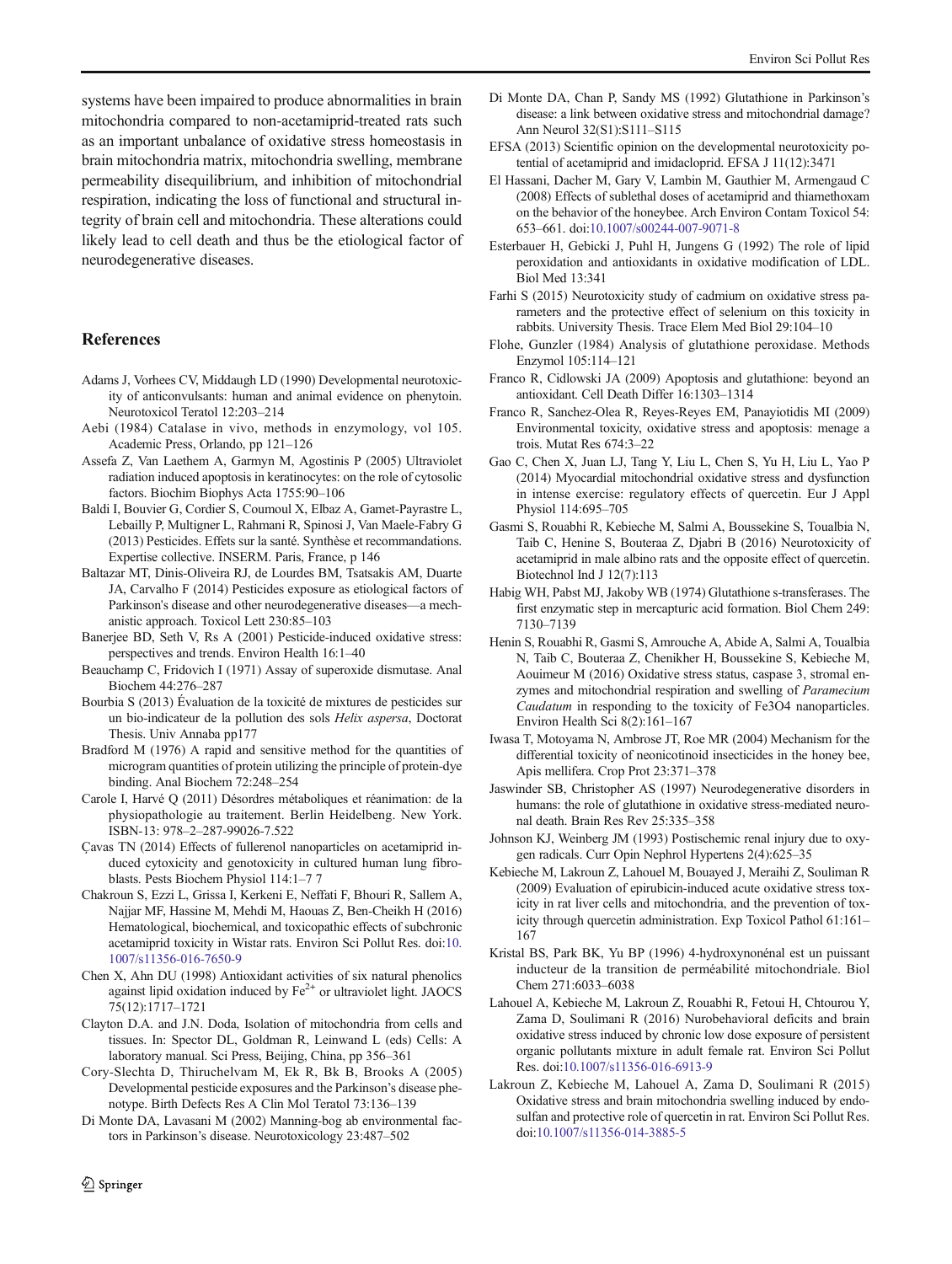<span id="page-5-0"></span>systems have been impaired to produce abnormalities in brain mitochondria compared to non-acetamiprid-treated rats such as an important unbalance of oxidative stress homeostasis in brain mitochondria matrix, mitochondria swelling, membrane permeability disequilibrium, and inhibition of mitochondrial respiration, indicating the loss of functional and structural integrity of brain cell and mitochondria. These alterations could likely lead to cell death and thus be the etiological factor of neurodegenerative diseases.

#### References

- Adams J, Vorhees CV, Middaugh LD (1990) Developmental neurotoxicity of anticonvulsants: human and animal evidence on phenytoin. Neurotoxicol Teratol 12:203–214
- Aebi (1984) Catalase in vivo, methods in enzymology, vol 105. Academic Press, Orlando, pp 121–126
- Assefa Z, Van Laethem A, Garmyn M, Agostinis P (2005) Ultraviolet radiation induced apoptosis in keratinocytes: on the role of cytosolic factors. Biochim Biophys Acta 1755:90–106
- Baldi I, Bouvier G, Cordier S, Coumoul X, Elbaz A, Gamet-Payrastre L, Lebailly P, Multigner L, Rahmani R, Spinosi J, Van Maele-Fabry G (2013) Pesticides. Effets sur la santé. Synthèse et recommandations. Expertise collective. INSERM. Paris, France, p 146
- Baltazar MT, Dinis-Oliveira RJ, de Lourdes BM, Tsatsakis AM, Duarte JA, Carvalho F (2014) Pesticides exposure as etiological factors of Parkinson's disease and other neurodegenerative diseases—a mechanistic approach. Toxicol Lett 230:85–103
- Banerjee BD, Seth V, Rs A (2001) Pesticide-induced oxidative stress: perspectives and trends. Environ Health 16:1–40
- Beauchamp C, Fridovich I (1971) Assay of superoxide dismutase. Anal Biochem 44:276–287
- Bourbia S (2013) Évaluation de la toxicité de mixtures de pesticides sur un bio-indicateur de la pollution des sols Helix aspersa, Doctorat Thesis. Univ Annaba pp177
- Bradford M (1976) A rapid and sensitive method for the quantities of microgram quantities of protein utilizing the principle of protein-dye binding. Anal Biochem 72:248–254
- Carole I, Harvé Q (2011) Désordres métaboliques et réanimation: de la physiopathologie au traitement. Berlin Heidelbeng. New York. ISBN-13: 978–2–287-99026-7.522
- Çavas TN (2014) Effects of fullerenol nanoparticles on acetamiprid induced cytoxicity and genotoxicity in cultured human lung fibroblasts. Pests Biochem Physiol 114:1–7 7
- Chakroun S, Ezzi L, Grissa I, Kerkeni E, Neffati F, Bhouri R, Sallem A, Najjar MF, Hassine M, Mehdi M, Haouas Z, Ben-Cheikh H (2016) Hematological, biochemical, and toxicopathic effects of subchronic acetamiprid toxicity in Wistar rats. Environ Sci Pollut Res. doi:[10.](http://dx.doi.org/10.1007/s11356-016-7650-9) [1007/s11356-016-7650-9](http://dx.doi.org/10.1007/s11356-016-7650-9)
- Chen X, Ahn DU (1998) Antioxidant activities of six natural phenolics against lipid oxidation induced by  $Fe<sup>2+</sup>$  or ultraviolet light. JAOCS 75(12):1717–1721
- Clayton D.A. and J.N. Doda, Isolation of mitochondria from cells and tissues. In: Spector DL, Goldman R, Leinwand L (eds) Cells: A laboratory manual. Sci Press, Beijing, China, pp 356–361
- Cory-Slechta D, Thiruchelvam M, Ek R, Bk B, Brooks A (2005) Developmental pesticide exposures and the Parkinson's disease phenotype. Birth Defects Res A Clin Mol Teratol 73:136–139
- Di Monte DA, Lavasani M (2002) Manning-bog ab environmental factors in Parkinson's disease. Neurotoxicology 23:487–502
- Di Monte DA, Chan P, Sandy MS (1992) Glutathione in Parkinson's disease: a link between oxidative stress and mitochondrial damage? Ann Neurol 32(S1):S111–S115
- EFSA (2013) Scientific opinion on the developmental neurotoxicity potential of acetamiprid and imidacloprid. EFSA J 11(12):3471
- El Hassani, Dacher M, Gary V, Lambin M, Gauthier M, Armengaud C (2008) Effects of sublethal doses of acetamiprid and thiamethoxam on the behavior of the honeybee. Arch Environ Contam Toxicol 54: 653–661. doi[:10.1007/s00244-007-9071-8](http://dx.doi.org/10.1007/s00244-007-9071-8)
- Esterbauer H, Gebicki J, Puhl H, Jungens G (1992) The role of lipid peroxidation and antioxidants in oxidative modification of LDL. Biol Med 13:341
- Farhi S (2015) Neurotoxicity study of cadmium on oxidative stress parameters and the protective effect of selenium on this toxicity in rabbits. University Thesis. Trace Elem Med Biol 29:104–10
- Flohe, Gunzler (1984) Analysis of glutathione peroxidase. Methods Enzymol 105:114–121
- Franco R, Cidlowski JA (2009) Apoptosis and glutathione: beyond an antioxidant. Cell Death Differ 16:1303–1314
- Franco R, Sanchez-Olea R, Reyes-Reyes EM, Panayiotidis MI (2009) Environmental toxicity, oxidative stress and apoptosis: menage a trois. Mutat Res 674:3–22
- Gao C, Chen X, Juan LJ, Tang Y, Liu L, Chen S, Yu H, Liu L, Yao P (2014) Myocardial mitochondrial oxidative stress and dysfunction in intense exercise: regulatory effects of quercetin. Eur J Appl Physiol 114:695–705
- Gasmi S, Rouabhi R, Kebieche M, Salmi A, Boussekine S, Toualbia N, Taib C, Henine S, Bouteraa Z, Djabri B (2016) Neurotoxicity of acetamiprid in male albino rats and the opposite effect of quercetin. Biotechnol Ind J 12(7):113
- Habig WH, Pabst MJ, Jakoby WB (1974) Glutathione s-transferases. The first enzymatic step in mercapturic acid formation. Biol Chem 249: 7130–7139
- Henin S, Rouabhi R, Gasmi S, Amrouche A, Abide A, Salmi A, Toualbia N, Taib C, Bouteraa Z, Chenikher H, Boussekine S, Kebieche M, Aouimeur M (2016) Oxidative stress status, caspase 3, stromal enzymes and mitochondrial respiration and swelling of Paramecium Caudatum in responding to the toxicity of Fe3O4 nanoparticles. Environ Health Sci 8(2):161–167
- Iwasa T, Motoyama N, Ambrose JT, Roe MR (2004) Mechanism for the differential toxicity of neonicotinoid insecticides in the honey bee, Apis mellifera. Crop Prot 23:371–378
- Jaswinder SB, Christopher AS (1997) Neurodegenerative disorders in humans: the role of glutathione in oxidative stress-mediated neuronal death. Brain Res Rev 25:335–358
- Johnson KJ, Weinberg JM (1993) Postischemic renal injury due to oxygen radicals. Curr Opin Nephrol Hypertens 2(4):625–35
- Kebieche M, Lakroun Z, Lahouel M, Bouayed J, Meraihi Z, Souliman R (2009) Evaluation of epirubicin-induced acute oxidative stress toxicity in rat liver cells and mitochondria, and the prevention of toxicity through quercetin administration. Exp Toxicol Pathol 61:161– 167
- Kristal BS, Park BK, Yu BP (1996) 4-hydroxynonénal est un puissant inducteur de la transition de perméabilité mitochondriale. Biol Chem 271:6033–6038
- Lahouel A, Kebieche M, Lakroun Z, Rouabhi R, Fetoui H, Chtourou Y, Zama D, Soulimani R (2016) Nurobehavioral deficits and brain oxidative stress induced by chronic low dose exposure of persistent organic pollutants mixture in adult female rat. Environ Sci Pollut Res. doi[:10.1007/s11356-016-6913-9](http://dx.doi.org/10.1007/s11356-016-6913-9)
- Lakroun Z, Kebieche M, Lahouel A, Zama D, Soulimani R (2015) Oxidative stress and brain mitochondria swelling induced by endosulfan and protective role of quercetin in rat. Environ Sci Pollut Res. doi:[10.1007/s11356-014-3885-5](http://dx.doi.org/10.1007/s11356-014-3885-5)